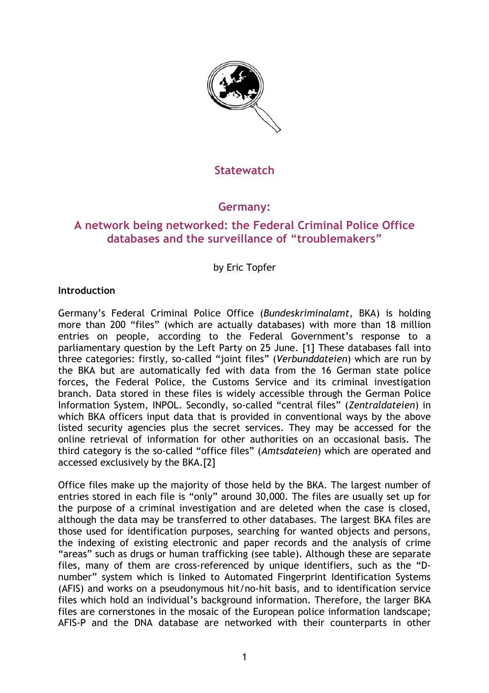

### **Statewatch**

## **Germany:**

# **A network being networked: the Federal Criminal Police Office databases and the surveillance of "troublemakers"**

by Eric Topfer

#### **Introduction**

Germany's Federal Criminal Police Office (*Bundeskriminalamt*, BKA) is holding more than 200 "files" (which are actually databases) with more than 18 million entries on people, according to the Federal Government's response to a parliamentary question by the Left Party on 25 June. [1] These databases fall into three categories: firstly, so-called "joint files" (*Verbunddateien*) which are run by the BKA but are automatically fed with data from the 16 German state police forces, the Federal Police, the Customs Service and its criminal investigation branch. Data stored in these files is widely accessible through the German Police Information System, INPOL. Secondly, so-called "central files" (*Zentraldateien*) in which BKA officers input data that is provided in conventional ways by the above listed security agencies plus the secret services. They may be accessed for the online retrieval of information for other authorities on an occasional basis. The third category is the so-called "office files" (*Amtsdateien*) which are operated and accessed exclusively by the BKA.[2]

Office files make up the majority of those held by the BKA. The largest number of entries stored in each file is "only" around 30,000. The files are usually set up for the purpose of a criminal investigation and are deleted when the case is closed, although the data may be transferred to other databases. The largest BKA files are those used for identification purposes, searching for wanted objects and persons, the indexing of existing electronic and paper records and the analysis of crime "areas" such as drugs or human trafficking (see table). Although these are separate files, many of them are cross-referenced by unique identifiers, such as the "Dnumber" system which is linked to Automated Fingerprint Identification Systems (AFIS) and works on a pseudonymous hit/no-hit basis, and to identification service files which hold an individual's background information. Therefore, the larger BKA files are cornerstones in the mosaic of the European police information landscape; AFIS-P and the DNA database are networked with their counterparts in other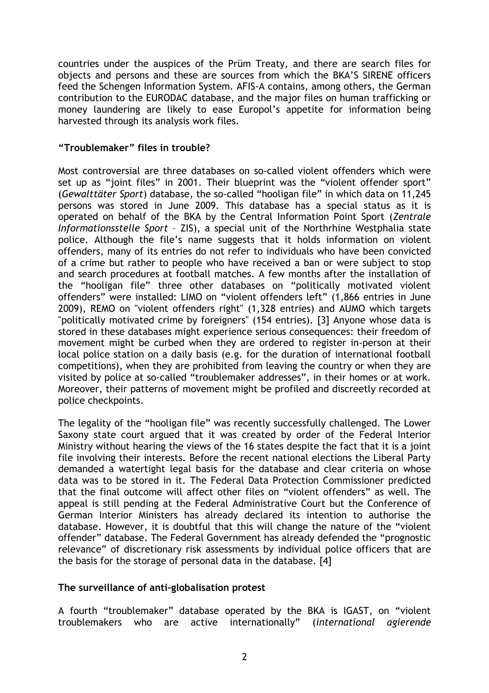countries under the auspices of the Prüm Treaty, and there are search files for objects and persons and these are sources from which the BKA'S SIRENE officers feed the Schengen Information System. AFIS-A contains, among others, the German contribution to the EURODAC database, and the major files on human trafficking or money laundering are likely to ease Europol's appetite for information being harvested through its analysis work files.

#### **"Troublemaker" files in trouble?**

Most controversial are three databases on so-called violent offenders which were set up as "joint files" in 2001. Their blueprint was the "violent offender sport" (*Gewalttäter Sport*) database, the so-called "hooligan file" in which data on 11,245 persons was stored in June 2009. This database has a special status as it is operated on behalf of the BKA by the Central Information Point Sport (*Zentrale Informationsstelle Sport* – ZIS), a special unit of the Northrhine Westphalia state police. Although the file's name suggests that it holds information on violent offenders, many of its entries do not refer to individuals who have been convicted of a crime but rather to people who have received a ban or were subject to stop and search procedures at football matches. A few months after the installation of the "hooligan file" three other databases on "politically motivated violent offenders" were installed: LIMO on "violent offenders left" (1,866 entries in June 2009), REMO on "violent offenders right" (1,328 entries) and AUMO which targets "politically motivated crime by foreigners" (154 entries). [3] Anyone whose data is stored in these databases might experience serious consequences: their freedom of movement might be curbed when they are ordered to register in-person at their local police station on a daily basis (e.g. for the duration of international football competitions), when they are prohibited from leaving the country or when they are visited by police at so-called "troublemaker addresses", in their homes or at work. Moreover, their patterns of movement might be profiled and discreetly recorded at police checkpoints.

The legality of the "hooligan file" was recently successfully challenged. The Lower Saxony state court argued that it was created by order of the Federal Interior Ministry without hearing the views of the 16 states despite the fact that it is a joint file involving their interests. Before the recent national elections the Liberal Party demanded a watertight legal basis for the database and clear criteria on whose data was to be stored in it. The Federal Data Protection Commissioner predicted that the final outcome will affect other files on "violent offenders" as well. The appeal is still pending at the Federal Administrative Court but the Conference of German Interior Ministers has already declared its intention to authorise the database. However, it is doubtful that this will change the nature of the "violent offender" database. The Federal Government has already defended the "prognostic relevance" of discretionary risk assessments by individual police officers that are the basis for the storage of personal data in the database. [4]

#### **The surveillance of anti-globalisation protest**

A fourth "troublemaker" database operated by the BKA is IGAST, on "violent troublemakers who are active internationally" (*international agierende*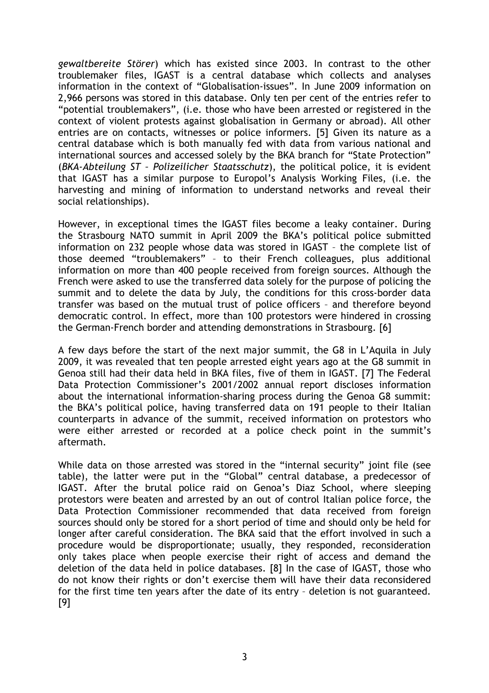*gewaltbereite Störer*) which has existed since 2003. In contrast to the other troublemaker files, IGAST is a central database which collects and analyses information in the context of "Globalisation-issues". In June 2009 information on 2,966 persons was stored in this database. Only ten per cent of the entries refer to "potential troublemakers", (i.e. those who have been arrested or registered in the context of violent protests against globalisation in Germany or abroad). All other entries are on contacts, witnesses or police informers. [5] Given its nature as a central database which is both manually fed with data from various national and international sources and accessed solely by the BKA branch for "State Protection" (*BKA-Abteilung ST – Polizeilicher Staatsschutz*), the political police, it is evident that IGAST has a similar purpose to Europol's Analysis Working Files, (i.e. the harvesting and mining of information to understand networks and reveal their social relationships).

However, in exceptional times the IGAST files become a leaky container. During the Strasbourg NATO summit in April 2009 the BKA's political police submitted information on 232 people whose data was stored in IGAST – the complete list of those deemed "troublemakers" – to their French colleagues, plus additional information on more than 400 people received from foreign sources. Although the French were asked to use the transferred data solely for the purpose of policing the summit and to delete the data by July, the conditions for this cross-border data transfer was based on the mutual trust of police officers – and therefore beyond democratic control. In effect, more than 100 protestors were hindered in crossing the German-French border and attending demonstrations in Strasbourg. [6]

A few days before the start of the next major summit, the G8 in L'Aquila in July 2009, it was revealed that ten people arrested eight years ago at the G8 summit in Genoa still had their data held in BKA files, five of them in IGAST. [7] The Federal Data Protection Commissioner's 2001/2002 annual report discloses information about the international information-sharing process during the Genoa G8 summit: the BKA's political police, having transferred data on 191 people to their Italian counterparts in advance of the summit, received information on protestors who were either arrested or recorded at a police check point in the summit's aftermath.

While data on those arrested was stored in the "internal security" joint file (see table), the latter were put in the "Global" central database, a predecessor of IGAST. After the brutal police raid on Genoa's Diaz School, where sleeping protestors were beaten and arrested by an out of control Italian police force, the Data Protection Commissioner recommended that data received from foreign sources should only be stored for a short period of time and should only be held for longer after careful consideration. The BKA said that the effort involved in such a procedure would be disproportionate; usually, they responded, reconsideration only takes place when people exercise their right of access and demand the deletion of the data held in police databases. [8] In the case of IGAST, those who do not know their rights or don't exercise them will have their data reconsidered for the first time ten years after the date of its entry – deletion is not guaranteed. [9]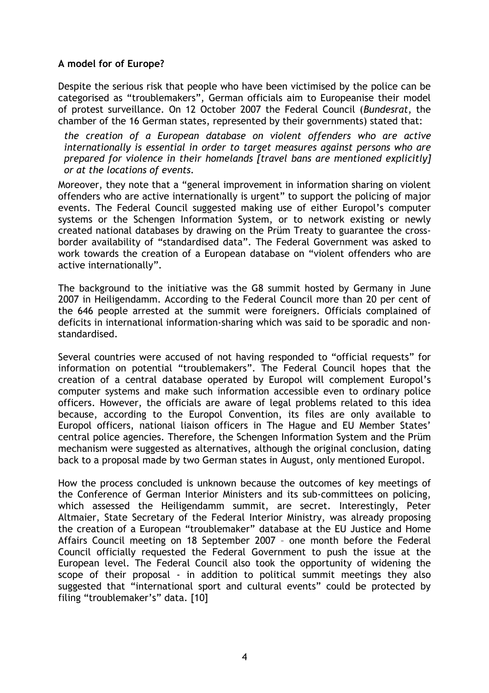#### **A model for of Europe?**

Despite the serious risk that people who have been victimised by the police can be categorised as "troublemakers", German officials aim to Europeanise their model of protest surveillance. On 12 October 2007 the Federal Council (*Bundesrat*, the chamber of the 16 German states, represented by their governments) stated that:

*the creation of a European database on violent offenders who are active internationally is essential in order to target measures against persons who are prepared for violence in their homelands [travel bans are mentioned explicitly] or at the locations of events.* 

Moreover, they note that a "general improvement in information sharing on violent offenders who are active internationally is urgent" to support the policing of major events. The Federal Council suggested making use of either Europol's computer systems or the Schengen Information System, or to network existing or newly created national databases by drawing on the Prüm Treaty to guarantee the crossborder availability of "standardised data". The Federal Government was asked to work towards the creation of a European database on "violent offenders who are active internationally".

The background to the initiative was the G8 summit hosted by Germany in June 2007 in Heiligendamm. According to the Federal Council more than 20 per cent of the 646 people arrested at the summit were foreigners. Officials complained of deficits in international information-sharing which was said to be sporadic and nonstandardised.

Several countries were accused of not having responded to "official requests" for information on potential "troublemakers". The Federal Council hopes that the creation of a central database operated by Europol will complement Europol's computer systems and make such information accessible even to ordinary police officers. However, the officials are aware of legal problems related to this idea because, according to the Europol Convention, its files are only available to Europol officers, national liaison officers in The Hague and EU Member States' central police agencies. Therefore, the Schengen Information System and the Prüm mechanism were suggested as alternatives, although the original conclusion, dating back to a proposal made by two German states in August, only mentioned Europol.

How the process concluded is unknown because the outcomes of key meetings of the Conference of German Interior Ministers and its sub-committees on policing, which assessed the Heiligendamm summit, are secret. Interestingly, Peter Altmaier, State Secretary of the Federal Interior Ministry, was already proposing the creation of a European "troublemaker" database at the EU Justice and Home Affairs Council meeting on 18 September 2007 – one month before the Federal Council officially requested the Federal Government to push the issue at the European level. The Federal Council also took the opportunity of widening the scope of their proposal - in addition to political summit meetings they also suggested that "international sport and cultural events" could be protected by filing "troublemaker's" data. [10]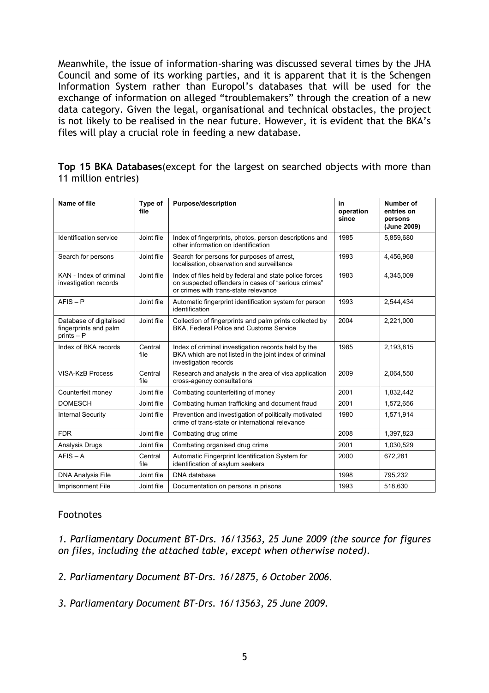Meanwhile, the issue of information-sharing was discussed several times by the JHA Council and some of its working parties, and it is apparent that it is the Schengen Information System rather than Europol's databases that will be used for the exchange of information on alleged "troublemakers" through the creation of a new data category. Given the legal, organisational and technical obstacles, the project is not likely to be realised in the near future. However, it is evident that the BKA's files will play a crucial role in feeding a new database.

**Top 15 BKA Databases**(except for the largest on searched objects with more than 11 million entries)

| Name of file                                                     | Type of<br>file | <b>Purpose/description</b>                                                                                                                            | in<br>operation<br>since | Number of<br>entries on<br>persons<br>(June 2009) |
|------------------------------------------------------------------|-----------------|-------------------------------------------------------------------------------------------------------------------------------------------------------|--------------------------|---------------------------------------------------|
| Identification service                                           | Joint file      | Index of fingerprints, photos, person descriptions and<br>other information on identification                                                         | 1985                     | 5,859,680                                         |
| Search for persons                                               | Joint file      | Search for persons for purposes of arrest.<br>localisation, observation and surveillance                                                              | 1993                     | 4,456,968                                         |
| KAN - Index of criminal<br>investigation records                 | Joint file      | Index of files held by federal and state police forces<br>on suspected offenders in cases of "serious crimes"<br>or crimes with trans-state relevance | 1983                     | 4,345,009                                         |
| $AFIS - P$                                                       | Joint file      | Automatic fingerprint identification system for person<br>identification                                                                              | 1993                     | 2,544,434                                         |
| Database of digitalised<br>fingerprints and palm<br>$prints - P$ | Joint file      | Collection of fingerprints and palm prints collected by<br>BKA, Federal Police and Customs Service                                                    | 2004                     | 2,221,000                                         |
| Index of BKA records                                             | Central<br>file | Index of criminal investigation records held by the<br>BKA which are not listed in the joint index of criminal<br>investigation records               | 1985                     | 2,193,815                                         |
| <b>VISA-KzB Process</b>                                          | Central<br>file | Research and analysis in the area of visa application<br>cross-agency consultations                                                                   | 2009                     | 2,064,550                                         |
| Counterfeit money                                                | Joint file      | Combating counterfeiting of money                                                                                                                     | 2001                     | 1,832,442                                         |
| <b>DOMESCH</b>                                                   | Joint file      | Combating human trafficking and document fraud                                                                                                        | 2001                     | 1,572,656                                         |
| <b>Internal Security</b>                                         | Joint file      | Prevention and investigation of politically motivated<br>crime of trans-state or international relevance                                              | 1980                     | 1.571.914                                         |
| <b>FDR</b>                                                       | Joint file      | Combating drug crime                                                                                                                                  | 2008                     | 1,397,823                                         |
| Analysis Drugs                                                   | Joint file      | Combating organised drug crime                                                                                                                        | 2001                     | 1,030,529                                         |
| $AFIS - A$                                                       | Central<br>file | Automatic Fingerprint Identification System for<br>identification of asylum seekers                                                                   | 2000                     | 672,281                                           |
| <b>DNA Analysis File</b>                                         | Joint file      | DNA database                                                                                                                                          | 1998                     | 795,232                                           |
| Imprisonment File                                                | Joint file      | Documentation on persons in prisons                                                                                                                   | 1993                     | 518,630                                           |

### Footnotes

*1. Parliamentary Document BT-Drs. 16/13563, 25 June 2009 (the source for figures on files, including the attached table, except when otherwise noted).* 

*2. Parliamentary Document BT-Drs. 16/2875, 6 October 2006.* 

*3. Parliamentary Document BT-Drs. 16/13563, 25 June 2009.*